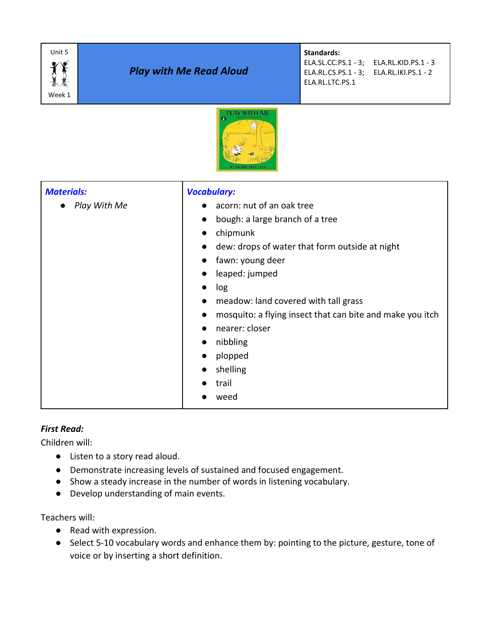| Unit 5<br>Week 1                                                                                        | <b>Play with Me Read Aloud</b> |                                                                                                                                                                                     | <b>Standards:</b><br>ELA.SL.CC.PS.1 - 3; ELA.RL.KID.PS.1 - 3<br>ELA.RL.CS.PS.1 - 3;<br>ELA.RL.IKI.PS.1 - 2<br>ELA.RL.LTC.PS.1 |
|---------------------------------------------------------------------------------------------------------|--------------------------------|-------------------------------------------------------------------------------------------------------------------------------------------------------------------------------------|-------------------------------------------------------------------------------------------------------------------------------|
| PLAY WITH ME                                                                                            |                                |                                                                                                                                                                                     |                                                                                                                               |
| <b>Materials:</b><br><b>Vocabulary:</b><br>Play With Me<br>log<br>nibbling<br>shelling<br>trail<br>weed |                                | acorn: nut of an oak tree<br>bough: a large branch of a tree<br>chipmunk<br>fawn: young deer<br>leaped: jumped<br>meadow: land covered with tall grass<br>nearer: closer<br>plopped | dew: drops of water that form outside at night<br>mosquito: a flying insect that can bite and make you itch                   |

#### *First Read:*

Children will:

- Listen to a story read aloud.
- Demonstrate increasing levels of sustained and focused engagement.
- Show a steady increase in the number of words in listening vocabulary.
- Develop understanding of main events.

Teachers will:

- Read with expression.
- Select 5-10 vocabulary words and enhance them by: pointing to the picture, gesture, tone of voice or by inserting a short definition.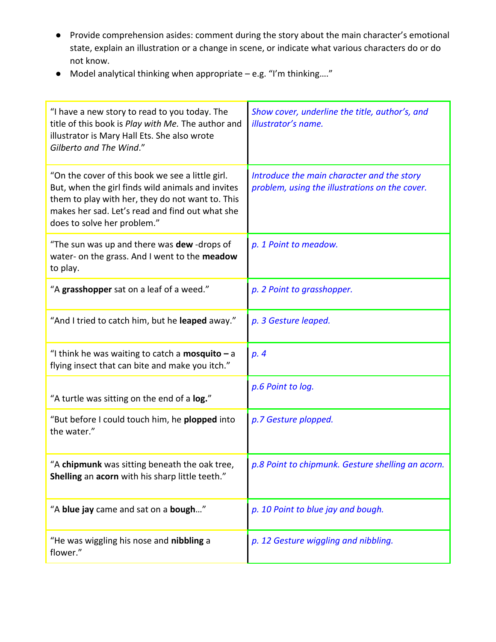- Provide comprehension asides: comment during the story about the main character's emotional state, explain an illustration or a change in scene, or indicate what various characters do or do not know.
- Model analytical thinking when appropriate e.g. "I'm thinking…."

| "I have a new story to read to you today. The<br>title of this book is Play with Me. The author and<br>illustrator is Mary Hall Ets. She also wrote<br>Gilberto and The Wind."                                                              | Show cover, underline the title, author's, and<br>illustrator's name.                        |
|---------------------------------------------------------------------------------------------------------------------------------------------------------------------------------------------------------------------------------------------|----------------------------------------------------------------------------------------------|
| "On the cover of this book we see a little girl.<br>But, when the girl finds wild animals and invites<br>them to play with her, they do not want to. This<br>makes her sad. Let's read and find out what she<br>does to solve her problem." | Introduce the main character and the story<br>problem, using the illustrations on the cover. |
| "The sun was up and there was dew-drops of<br>water- on the grass. And I went to the meadow<br>to play.                                                                                                                                     | p. 1 Point to meadow.                                                                        |
| "A grasshopper sat on a leaf of a weed."                                                                                                                                                                                                    | p. 2 Point to grasshopper.                                                                   |
| "And I tried to catch him, but he leaped away."                                                                                                                                                                                             | p. 3 Gesture leaped.                                                                         |
| "I think he was waiting to catch a <b>mosquito</b> $-$ a<br>flying insect that can bite and make you itch."                                                                                                                                 | p. 4                                                                                         |
| "A turtle was sitting on the end of a log."                                                                                                                                                                                                 | p.6 Point to log.                                                                            |
| "But before I could touch him, he plopped into<br>the water."                                                                                                                                                                               | p.7 Gesture plopped.                                                                         |
| "A chipmunk was sitting beneath the oak tree,<br>Shelling an acorn with his sharp little teeth."                                                                                                                                            | p.8 Point to chipmunk. Gesture shelling an acorn.                                            |
| "A blue jay came and sat on a bough"                                                                                                                                                                                                        | p. 10 Point to blue jay and bough.                                                           |
| "He was wiggling his nose and nibbling a<br>flower."                                                                                                                                                                                        | p. 12 Gesture wiggling and nibbling.                                                         |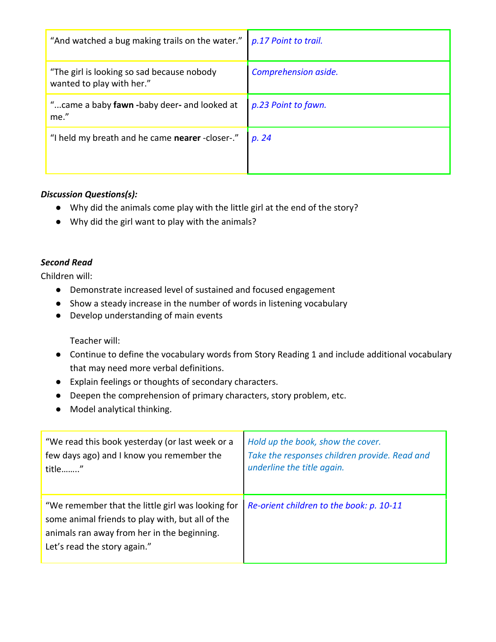| "And watched a bug making trails on the water."                          | p.17 Point to trail. |
|--------------------------------------------------------------------------|----------------------|
| "The girl is looking so sad because nobody"<br>wanted to play with her." | Comprehension aside. |
| " came a baby fawn -baby deer- and looked at<br>me."                     | p.23 Point to fawn.  |
| "I held my breath and he came nearer -closer-."                          | p. 24                |

## *Discussion Questions(s):*

- Why did the animals come play with the little girl at the end of the story?
- Why did the girl want to play with the animals?

#### *Second Read*

Children will:

- Demonstrate increased level of sustained and focused engagement
- Show a steady increase in the number of words in listening vocabulary
- Develop understanding of main events

Teacher will:

- Continue to define the vocabulary words from Story Reading 1 and include additional vocabulary that may need more verbal definitions.
- Explain feelings or thoughts of secondary characters.
- Deepen the comprehension of primary characters, story problem, etc.
- Model analytical thinking.

| "We read this book yesterday (or last week or a                                                                                                                                      | Hold up the book, show the cover.             |
|--------------------------------------------------------------------------------------------------------------------------------------------------------------------------------------|-----------------------------------------------|
| few days ago) and I know you remember the                                                                                                                                            | Take the responses children provide. Read and |
| title"                                                                                                                                                                               | underline the title again.                    |
| "We remember that the little girl was looking for<br>some animal friends to play with, but all of the<br>animals ran away from her in the beginning.<br>Let's read the story again." | Re-orient children to the book: p. 10-11      |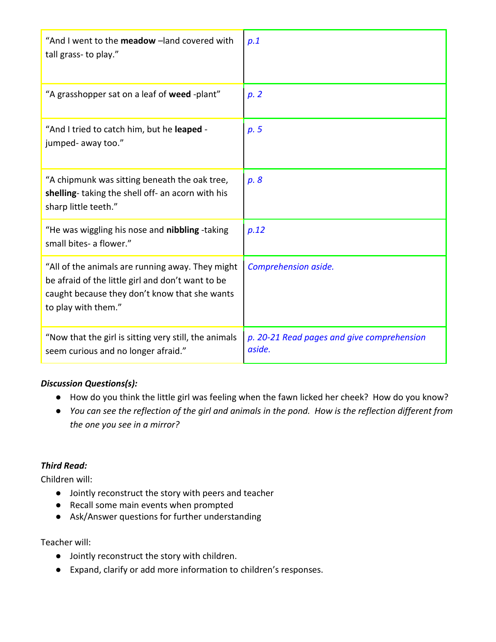| "And I went to the meadow -land covered with<br>tall grass- to play."                                                                                                         | p.1                                                  |
|-------------------------------------------------------------------------------------------------------------------------------------------------------------------------------|------------------------------------------------------|
| "A grasshopper sat on a leaf of weed -plant"                                                                                                                                  | p.2                                                  |
| "And I tried to catch him, but he leaped -<br>jumped- away too."                                                                                                              | p.5                                                  |
| "A chipmunk was sitting beneath the oak tree,<br>shelling-taking the shell off- an acorn with his<br>sharp little teeth."                                                     | p. 8                                                 |
| "He was wiggling his nose and nibbling -taking<br>small bites- a flower."                                                                                                     | p.12                                                 |
| "All of the animals are running away. They might<br>be afraid of the little girl and don't want to be<br>caught because they don't know that she wants<br>to play with them." | Comprehension aside.                                 |
| "Now that the girl is sitting very still, the animals<br>seem curious and no longer afraid."                                                                                  | p. 20-21 Read pages and give comprehension<br>aside. |

## *Discussion Questions(s):*

- How do you think the little girl was feeling when the fawn licked her cheek? How do you know?
- *You can see the reflection of the girl and animals in the pond. How is the reflection different from the one you see in a mirror?*

#### *Third Read:*

Children will:

- Jointly reconstruct the story with peers and teacher
- Recall some main events when prompted
- Ask/Answer questions for further understanding

#### Teacher will:

- Jointly reconstruct the story with children.
- Expand, clarify or add more information to children's responses.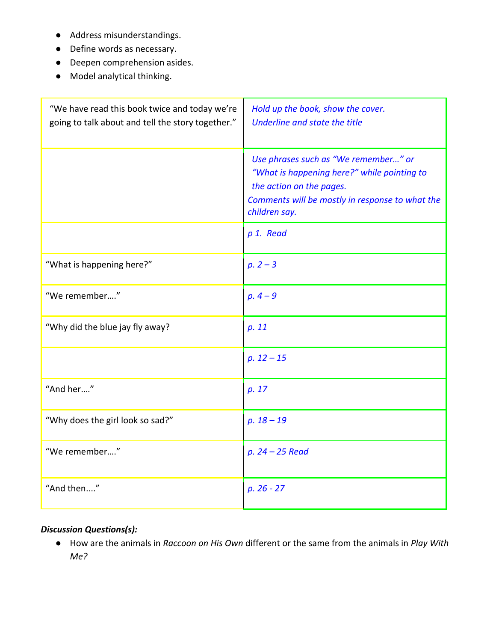- Address misunderstandings.
- Define words as necessary.
- Deepen comprehension asides.
- Model analytical thinking.

| "We have read this book twice and today we're<br>going to talk about and tell the story together." | Hold up the book, show the cover.<br>Underline and state the title                                                                                                                  |
|----------------------------------------------------------------------------------------------------|-------------------------------------------------------------------------------------------------------------------------------------------------------------------------------------|
|                                                                                                    | Use phrases such as "We remember" or<br>"What is happening here?" while pointing to<br>the action on the pages.<br>Comments will be mostly in response to what the<br>children say. |
|                                                                                                    | p 1. Read                                                                                                                                                                           |
| "What is happening here?"                                                                          | $p. 2 - 3$                                                                                                                                                                          |
| "We remember"                                                                                      | $p.4 - 9$                                                                                                                                                                           |
| "Why did the blue jay fly away?                                                                    | p. 11                                                                                                                                                                               |
|                                                                                                    | $p. 12 - 15$                                                                                                                                                                        |
| "And her"                                                                                          | p. 17                                                                                                                                                                               |
| "Why does the girl look so sad?"                                                                   | $p. 18 - 19$                                                                                                                                                                        |
| "We remember"                                                                                      | $p. 24 - 25$ Read                                                                                                                                                                   |
| "And then"                                                                                         | $p. 26 - 27$                                                                                                                                                                        |

# *Discussion Questions(s):*

● How are the animals in *Raccoon on His Own* different or the same from the animals in *Play With Me?*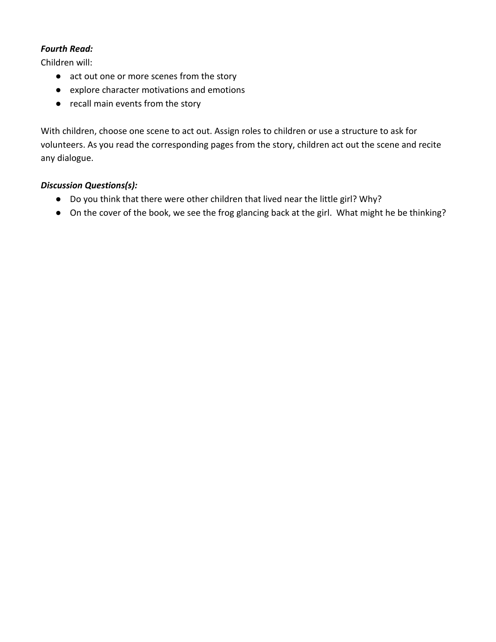## *Fourth Read:*

Children will:

- act out one or more scenes from the story
- explore character motivations and emotions
- recall main events from the story

With children, choose one scene to act out. Assign roles to children or use a structure to ask for volunteers. As you read the corresponding pages from the story, children act out the scene and recite any dialogue.

## *Discussion Questions(s):*

- Do you think that there were other children that lived near the little girl? Why?
- On the cover of the book, we see the frog glancing back at the girl. What might he be thinking?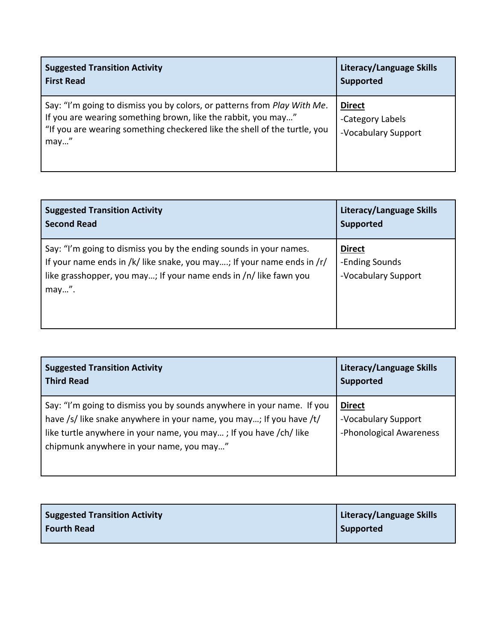| <b>Suggested Transition Activity</b>                                                                                                                                                                                           | Literacy/Language Skills                                 |
|--------------------------------------------------------------------------------------------------------------------------------------------------------------------------------------------------------------------------------|----------------------------------------------------------|
| <b>First Read</b>                                                                                                                                                                                                              | <b>Supported</b>                                         |
| Say: "I'm going to dismiss you by colors, or patterns from Play With Me.<br>If you are wearing something brown, like the rabbit, you may"<br>"If you are wearing something checkered like the shell of the turtle, you<br>may" | <b>Direct</b><br>-Category Labels<br>-Vocabulary Support |

| <b>Suggested Transition Activity</b>                                                                                                                                                                                       | Literacy/Language Skills                               |
|----------------------------------------------------------------------------------------------------------------------------------------------------------------------------------------------------------------------------|--------------------------------------------------------|
| <b>Second Read</b>                                                                                                                                                                                                         | <b>Supported</b>                                       |
| Say: "I'm going to dismiss you by the ending sounds in your names.<br>If your name ends in /k/ like snake, you may; If your name ends in /r/<br>like grasshopper, you may; If your name ends in /n/ like fawn you<br>may". | <b>Direct</b><br>-Ending Sounds<br>-Vocabulary Support |

| <b>Suggested Transition Activity</b>                                                                                                                                                                                                                           | Literacy/Language Skills                                        |
|----------------------------------------------------------------------------------------------------------------------------------------------------------------------------------------------------------------------------------------------------------------|-----------------------------------------------------------------|
| <b>Third Read</b>                                                                                                                                                                                                                                              | <b>Supported</b>                                                |
| Say: "I'm going to dismiss you by sounds anywhere in your name. If you<br>have /s/ like snake anywhere in your name, you may; If you have /t/<br>like turtle anywhere in your name, you may; If you have /ch/ like<br>chipmunk anywhere in your name, you may" | <b>Direct</b><br>-Vocabulary Support<br>-Phonological Awareness |

| <b>Suggested Transition Activity</b> | Literacy/Language Skills |
|--------------------------------------|--------------------------|
| Fourth Read                          | Supported                |